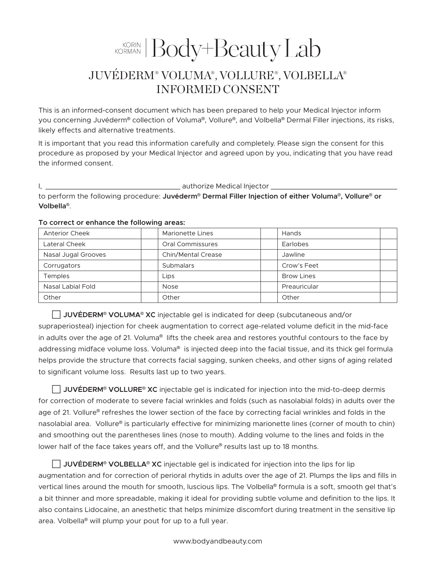# KORIAN Body+Beauty Lab

# JUVÉDERM® VOLUMA®, VOLLURE®, VOLBELLA® INFORMED CONSENT

This is an informed-consent document which has been prepared to help your Medical Injector inform you concerning Juvéderm® collection of Voluma®, Vollure®, and Volbella® Dermal Filler injections, its risks, likely effects and alternative treatments.

It is important that you read this information carefully and completely. Please sign the consent for this procedure as proposed by your Medical Injector and agreed upon by you, indicating that you have read the informed consent.

I, \_\_\_\_\_\_\_\_\_\_\_\_\_\_\_\_\_\_\_\_\_\_\_\_\_\_\_\_\_\_\_\_ authorize Medical Injector \_\_\_\_\_\_\_\_\_\_\_\_\_\_\_\_\_\_\_\_\_\_\_\_\_\_\_\_\_\_

to perform the following procedure: **Juvéderm**® **Dermal Filler Injection of either Voluma**®**, Vollure**® **or Volbella**®.

| <b>Anterior Cheek</b> | Marionette Lines   | Hands             |
|-----------------------|--------------------|-------------------|
| Lateral Cheek         | Oral Commissures   | Earlobes          |
| Nasal Jugal Grooves   | Chin/Mental Crease | Jawline           |
| Corrugators           | <b>Submalars</b>   | Crow's Feet       |
| <b>Temples</b>        | Lips               | <b>Brow Lines</b> |
| Nasal Labial Fold     | <b>Nose</b>        | Preauricular      |
| Other                 | Other              | Other             |

#### **To correct or enhance the following areas:**

£ **JUVÉDERM**® **VOLUMA**® **XC** injectable gel is indicated for deep (subcutaneous and/or

supraperiosteal) injection for cheek augmentation to correct age-related volume deficit in the mid-face in adults over the age of 21. Voluma<sup>®</sup> lifts the cheek area and restores youthful contours to the face by addressing midface volume loss. Voluma<sup>®</sup> is injected deep into the facial tissue, and its thick gel formula helps provide the structure that corrects facial sagging, sunken cheeks, and other signs of aging related to significant volume loss. Results last up to two years.

£ **JUVÉDERM**® **VOLLURE**® **XC** injectable gel is indicated for injection into the mid-to-deep dermis for correction of moderate to severe facial wrinkles and folds (such as nasolabial folds) in adults over the age of 21. Vollure<sup>®</sup> refreshes the lower section of the face by correcting facial wrinkles and folds in the nasolabial area. Vollure® is particularly effective for minimizing marionette lines (corner of mouth to chin) and smoothing out the parentheses lines (nose to mouth). Adding volume to the lines and folds in the lower half of the face takes years off, and the Vollure® results last up to 18 months.

£ **JUVÉDERM**® **VOLBELLA**® **XC** injectable gel is indicated for injection into the lips for lip augmentation and for correction of perioral rhytids in adults over the age of 21. Plumps the lips and fills in vertical lines around the mouth for smooth, luscious lips. The Volbella® formula is a soft, smooth gel that's a bit thinner and more spreadable, making it ideal for providing subtle volume and definition to the lips. It also contains Lidocaine, an anesthetic that helps minimize discomfort during treatment in the sensitive lip area. Volbella® will plump your pout for up to a full year.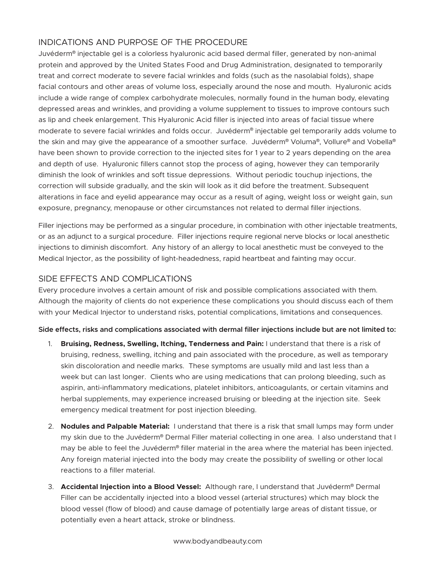## INDICATIONS AND PURPOSE OF THE PROCEDURE

Juvéderm® injectable gel is a colorless hyaluronic acid based dermal filler, generated by non-animal protein and approved by the United States Food and Drug Administration, designated to temporarily treat and correct moderate to severe facial wrinkles and folds (such as the nasolabial folds), shape facial contours and other areas of volume loss, especially around the nose and mouth. Hyaluronic acids include a wide range of complex carbohydrate molecules, normally found in the human body, elevating depressed areas and wrinkles, and providing a volume supplement to tissues to improve contours such as lip and cheek enlargement. This Hyaluronic Acid filler is injected into areas of facial tissue where moderate to severe facial wrinkles and folds occur. Juvéderm® injectable gel temporarily adds volume to the skin and may give the appearance of a smoother surface. Juvéderm® Voluma®, Vollure® and Vobella® have been shown to provide correction to the injected sites for 1 year to 2 years depending on the area and depth of use. Hyaluronic fillers cannot stop the process of aging, however they can temporarily diminish the look of wrinkles and soft tissue depressions. Without periodic touchup injections, the correction will subside gradually, and the skin will look as it did before the treatment. Subsequent alterations in face and eyelid appearance may occur as a result of aging, weight loss or weight gain, sun exposure, pregnancy, menopause or other circumstances not related to dermal filler injections.

Filler injections may be performed as a singular procedure, in combination with other injectable treatments, or as an adjunct to a surgical procedure. Filler injections require regional nerve blocks or local anesthetic injections to diminish discomfort. Any history of an allergy to local anesthetic must be conveyed to the Medical Injector, as the possibility of light-headedness, rapid heartbeat and fainting may occur.

### SIDE EFFECTS AND COMPLICATIONS

Every procedure involves a certain amount of risk and possible complications associated with them. Although the majority of clients do not experience these complications you should discuss each of them with your Medical Injector to understand risks, potential complications, limitations and consequences.

#### **Side effects, risks and complications associated with dermal filler injections include but are not limited to:**

- 1. **Bruising, Redness, Swelling, Itching, Tenderness and Pain:** I understand that there is a risk of bruising, redness, swelling, itching and pain associated with the procedure, as well as temporary skin discoloration and needle marks. These symptoms are usually mild and last less than a week but can last longer. Clients who are using medications that can prolong bleeding, such as aspirin, anti-inflammatory medications, platelet inhibitors, anticoagulants, or certain vitamins and herbal supplements, may experience increased bruising or bleeding at the injection site. Seek emergency medical treatment for post injection bleeding.
- 2. **Nodules and Palpable Material:** I understand that there is a risk that small lumps may form under my skin due to the Juvéderm® Dermal Filler material collecting in one area. I also understand that I may be able to feel the Juvéderm® filler material in the area where the material has been injected. Any foreign material injected into the body may create the possibility of swelling or other local reactions to a filler material.
- 3. **Accidental Injection into a Blood Vessel:** Although rare, I understand that Juvéderm® Dermal Filler can be accidentally injected into a blood vessel (arterial structures) which may block the blood vessel (flow of blood) and cause damage of potentially large areas of distant tissue, or potentially even a heart attack, stroke or blindness.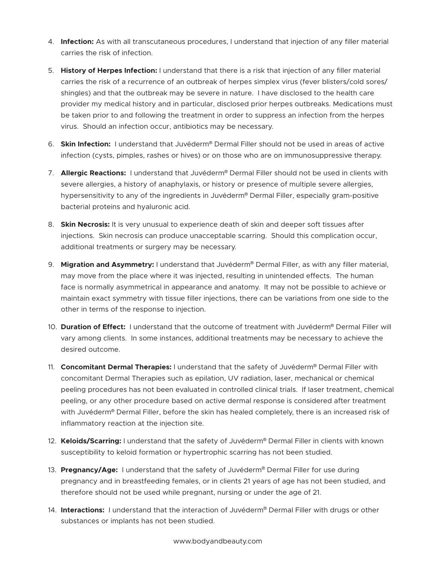- 4. **Infection:** As with all transcutaneous procedures, I understand that injection of any filler material carries the risk of infection.
- 5. **History of Herpes Infection:** I understand that there is a risk that injection of any filler material carries the risk of a recurrence of an outbreak of herpes simplex virus (fever blisters/cold sores/ shingles) and that the outbreak may be severe in nature. I have disclosed to the health care provider my medical history and in particular, disclosed prior herpes outbreaks. Medications must be taken prior to and following the treatment in order to suppress an infection from the herpes virus. Should an infection occur, antibiotics may be necessary.
- 6. **Skin Infection:** I understand that Juvéderm® Dermal Filler should not be used in areas of active infection (cysts, pimples, rashes or hives) or on those who are on immunosuppressive therapy.
- 7. **Allergic Reactions:** I understand that Juvéderm® Dermal Filler should not be used in clients with severe allergies, a history of anaphylaxis, or history or presence of multiple severe allergies, hypersensitivity to any of the ingredients in Juvéderm® Dermal Filler, especially gram-positive bacterial proteins and hyaluronic acid.
- 8. **Skin Necrosis:** It is very unusual to experience death of skin and deeper soft tissues after injections. Skin necrosis can produce unacceptable scarring. Should this complication occur, additional treatments or surgery may be necessary.
- 9. **Migration and Asymmetry:** I understand that Juvéderm® Dermal Filler, as with any filler material, may move from the place where it was injected, resulting in unintended effects. The human face is normally asymmetrical in appearance and anatomy. It may not be possible to achieve or maintain exact symmetry with tissue filler injections, there can be variations from one side to the other in terms of the response to injection.
- 10. **Duration of Effect:** I understand that the outcome of treatment with Juvéderm® Dermal Filler will vary among clients. In some instances, additional treatments may be necessary to achieve the desired outcome.
- 11. **Concomitant Dermal Therapies:** I understand that the safety of Juvéderm® Dermal Filler with concomitant Dermal Therapies such as epilation, UV radiation, laser, mechanical or chemical peeling procedures has not been evaluated in controlled clinical trials. If laser treatment, chemical peeling, or any other procedure based on active dermal response is considered after treatment with Juvéderm® Dermal Filler, before the skin has healed completely, there is an increased risk of inflammatory reaction at the injection site.
- 12. **Keloids/Scarring:** I understand that the safety of Juvéderm® Dermal Filler in clients with known susceptibility to keloid formation or hypertrophic scarring has not been studied.
- 13. **Pregnancy/Age:** I understand that the safety of Juvéderm® Dermal Filler for use during pregnancy and in breastfeeding females, or in clients 21 years of age has not been studied, and therefore should not be used while pregnant, nursing or under the age of 21.
- 14. **Interactions:** I understand that the interaction of Juvéderm® Dermal Filler with drugs or other substances or implants has not been studied.